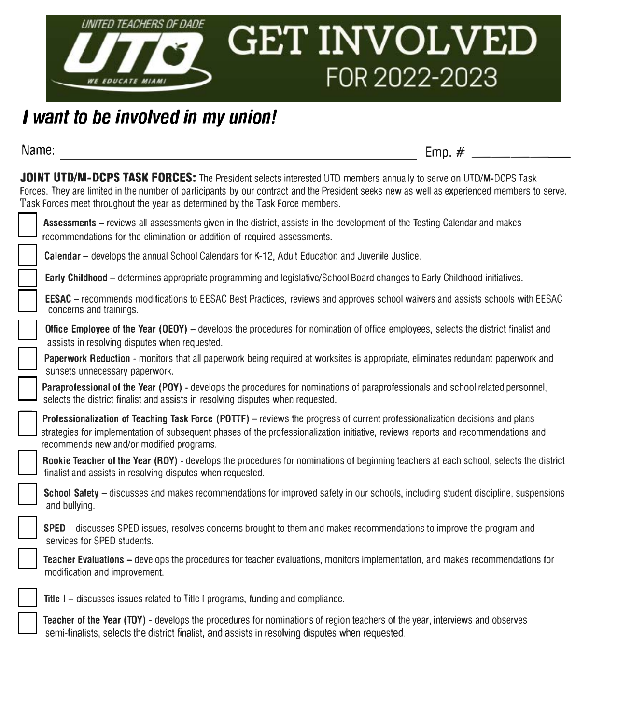

## *I want to be involved in my union!*

**Name: Emp.** #  $\frac{1}{2}$ 

JOINT UTD/M-DCPS TASK FORCES: The President selects interested UTD members annually to serve on UTD/M-DCPS Task Forces. They are limited in the number of participants by our contract and the President seeks new as well as experienced members to serve. Task Forces meet throughout the year as determined by the Task Force members.

| Assessments – reviews all assessments given in the district, assists in the development of the Testing Calendar and makes<br>recommendations for the elimination or addition of required assessments.                                                                                                         |
|---------------------------------------------------------------------------------------------------------------------------------------------------------------------------------------------------------------------------------------------------------------------------------------------------------------|
| <b>Calendar</b> – develops the annual School Calendars for K-12, Adult Education and Juvenile Justice.                                                                                                                                                                                                        |
| Early Childhood - determines appropriate programming and legislative/School Board changes to Early Childhood initiatives.                                                                                                                                                                                     |
| <b>EESAC</b> – recommends modifications to EESAC Best Practices, reviews and approves school waivers and assists schools with EESAC<br>concerns and trainings.                                                                                                                                                |
| Office Employee of the Year (OEOY) – develops the procedures for nomination of office employees, selects the district finalist and<br>assists in resolving disputes when requested.                                                                                                                           |
| Paperwork Reduction - monitors that all paperwork being required at worksites is appropriate, eliminates redundant paperwork and<br>sunsets unnecessary paperwork.                                                                                                                                            |
| Paraprofessional of the Year (POY) - develops the procedures for nominations of paraprofessionals and school related personnel,<br>selects the district finalist and assists in resolving disputes when requested.                                                                                            |
| Professionalization of Teaching Task Force (POTTF) – reviews the progress of current professionalization decisions and plans<br>strategies for implementation of subsequent phases of the professionalization initiative, reviews reports and recommendations and<br>recommends new and/or modified programs. |
| Rookie Teacher of the Year (ROY) - develops the procedures for nominations of beginning teachers at each school, selects the district<br>finalist and assists in resolving disputes when requested.                                                                                                           |
| School Safety – discusses and makes recommendations for improved safety in our schools, including student discipline, suspensions<br>and bullying.                                                                                                                                                            |
| SPED – discusses SPED issues, resolves concerns brought to them and makes recommendations to improve the program and<br>services for SPED students.                                                                                                                                                           |
| Teacher Evaluations - develops the procedures for teacher evaluations, monitors implementation, and makes recommendations for<br>modification and improvement.                                                                                                                                                |
| Title 1 – discusses issues related to Title I programs, funding and compliance.                                                                                                                                                                                                                               |
| Teacher of the Year (TOY) - develops the procedures for nominations of region teachers of the year, interviews and observes<br>semi-finalists, selects the district finalist, and assists in resolving disputes when requested.                                                                               |